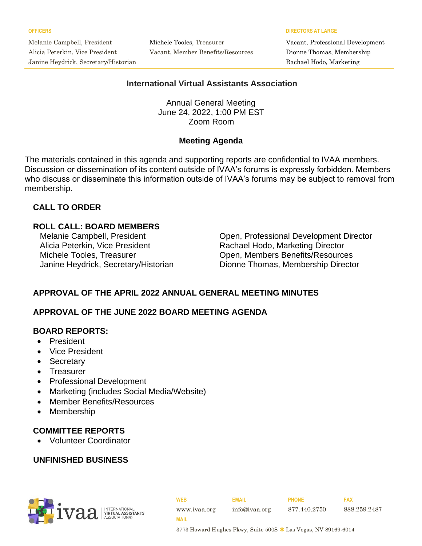Melanie Campbell, President Alicia Peterkin, Vice President Janine Heydrick, Secretary/Historian Michele Tooles, Treasurer Vacant, Member Benefits/Resources

**OFFICERS DIRECTORS AT LARGE**

Vacant, Professional Development Dionne Thomas, Membership Rachael Hodo, Marketing

#### **International Virtual Assistants Association**

Annual General Meeting June 24, 2022, 1:00 PM EST Zoom Room

#### **Meeting Agenda**

The materials contained in this agenda and supporting reports are confidential to IVAA members. Discussion or dissemination of its content outside of IVAA's forums is expressly forbidden. Members who discuss or disseminate this information outside of IVAA's forums may be subject to removal from membership.

### **CALL TO ORDER**

#### **ROLL CALL: BOARD MEMBERS**

Alicia Peterkin, Vice President Rachael Hodo, Marketing Director

Melanie Campbell, President **Campbell**, President **Campbell** Open, Professional Development Director Michele Tooles, Treasurer **Open, Members Benefits/Resources** Janine Heydrick, Secretary/Historian | Dionne Thomas, Membership Director

## **APPROVAL OF THE APRIL 2022 ANNUAL GENERAL MEETING MINUTES**

#### **APPROVAL OF THE JUNE 2022 BOARD MEETING AGENDA**

#### **BOARD REPORTS:**

- President
- Vice President
- Secretary
- Treasurer
- Professional Development
- Marketing (includes Social Media/Website)
- Member Benefits/Resources
- **Membership**

#### **COMMITTEE REPORTS**

• Volunteer Coordinator

#### **UNFINISHED BUSINESS**



**WEB EMAIL PHONE FAX** www.ivaa.org info@ivaa.org 877.440.2750 888.259.2487 **MAIL**

3773 Howard Hughes Pkwy, Suite 500S \* Las Vegas, NV 89169-6014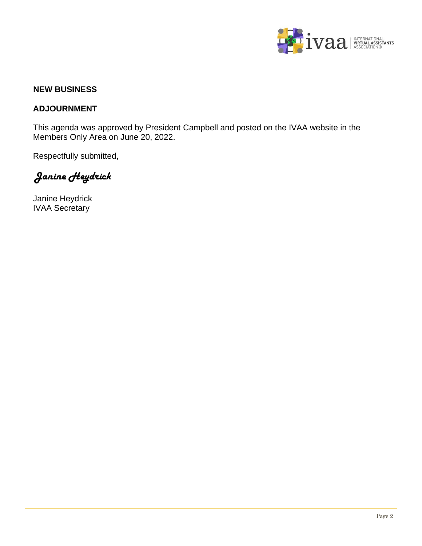

#### **NEW BUSINESS**

#### **ADJOURNMENT**

This agenda was approved by President Campbell and posted on the IVAA website in the Members Only Area on June 20, 2022.

Respectfully submitted,

*Janine Heydrick*

Janine Heydrick IVAA Secretary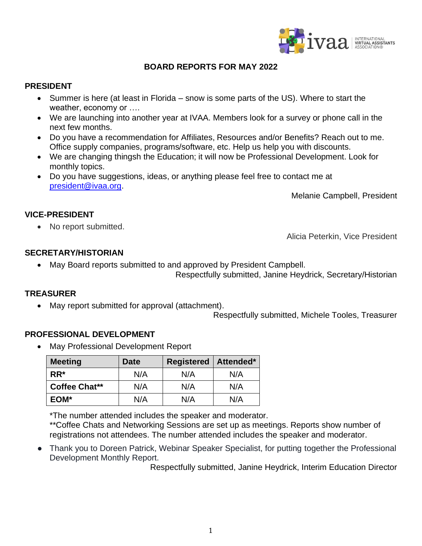

#### **BOARD REPORTS FOR MAY 2022**

#### **PRESIDENT**

- Summer is here (at least in Florida snow is some parts of the US). Where to start the weather, economy or ….
- We are launching into another year at IVAA. Members look for a survey or phone call in the next few months.
- Do you have a recommendation for Affiliates, Resources and/or Benefits? Reach out to me. Office supply companies, programs/software, etc. Help us help you with discounts.
- We are changing thingsh the Education; it will now be Professional Development. Look for monthly topics.
- Do you have suggestions, ideas, or anything please feel free to contact me at [president@ivaa.org.](mailto:president@ivaa.org)

Melanie Campbell, President

#### **VICE-PRESIDENT**

• No report submitted.

Alicia Peterkin, Vice President

#### **SECRETARY/HISTORIAN**

• May Board reports submitted to and approved by President Campbell.

Respectfully submitted, Janine Heydrick, Secretary/Historian

#### **TREASURER**

May report submitted for approval (attachment).

Respectfully submitted, Michele Tooles, Treasurer

#### **PROFESSIONAL DEVELOPMENT**

• May Professional Development Report

| <b>Meeting</b>       | Date | <b>Registered</b> | Attended* |
|----------------------|------|-------------------|-----------|
| $RR^*$               | N/A  | N/A               | N/A       |
| <b>Coffee Chat**</b> | N/A  | N/A               | N/A       |
| EOM*                 | N/A  | N/A               | N/A       |

\*The number attended includes the speaker and moderator.

\*\*Coffee Chats and Networking Sessions are set up as meetings. Reports show number of registrations not attendees. The number attended includes the speaker and moderator.

• Thank you to Doreen Patrick, Webinar Speaker Specialist, for putting together the Professional Development Monthly Report.

Respectfully submitted, Janine Heydrick, Interim Education Director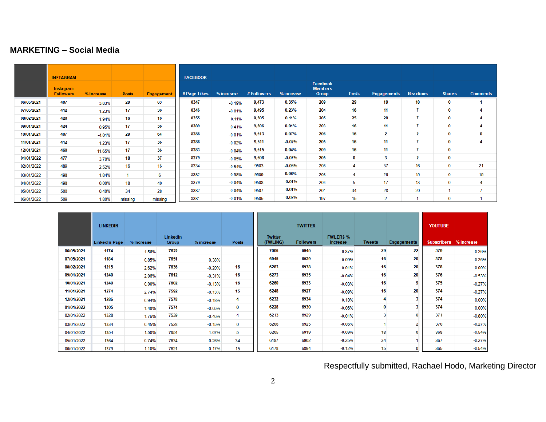#### **MARKETING – Social Media**

|            | <b>INSTAGRAM</b><br>Instagram<br><b>Followers</b> | % Increase | <b>Posts</b> | <b>Engagement</b> | <b>FACEBOOK</b><br># Page Likes | % increase | # Followers | % increase | <b>Facebook</b><br><b>Members</b><br><b>Group</b> | <b>Posts</b> | <b>Engagements</b> | <b>Reactions</b> | <b>Shares</b> | <b>Comments</b> |
|------------|---------------------------------------------------|------------|--------------|-------------------|---------------------------------|------------|-------------|------------|---------------------------------------------------|--------------|--------------------|------------------|---------------|-----------------|
| 06/05/2021 | 407                                               | 3.83%      | 29           | 63                | 8347                            | $-0.19%$   | 9,473       | 0.35%      | 209                                               | 29           | 19                 | 18               | 0             |                 |
| 07/05/2021 | 412                                               | 1.23%      | 17           | 36                | 8346                            | $-0.01%$   | 9,495       | 0.23%      | 204                                               | 16           | 11                 | $\overline{7}$   | 0             | 4               |
| 08/02/2021 | 420                                               | 1.94%      | 16           | 16                | 8355                            | 0.11%      | 9,505       | 0.11%      | 205                                               | 25           | 20                 | $\overline{7}$   | $\bf{0}$      | 4               |
| 09/01/2021 | 424                                               | 0.95%      | 17           | 36                | 8389                            | 0.41%      | 9,506       | 0.01%      | 203                                               | 16           | 11                 | $\overline{7}$   | 0             | 4               |
| 10/01/2021 | 407                                               | $-4.01%$   | 29           | 64                | 8388                            | $-0.01%$   | 9,513       | 0.07%      | 206                                               | 16           | 2                  | $\mathbf{2}$     | $\bf{0}$      | 0               |
| 11/01/2021 | 412                                               | 1.23%      | 17           | 36                | 8386                            | $-0.02%$   | 9,511       | $-0.02%$   | 205                                               | 16           | 11                 | $\overline{7}$   | 0             | 4               |
| 12/01/2021 | 460                                               | 11.65%     | 17           | 36                | 8383                            | $-0.04%$   | 9,515       | 0.04%      | 209                                               | 16           | 11                 | $\overline{7}$   | $\bf{0}$      |                 |
| 01/01/2022 | 477                                               | 3.70%      | 18           | 37                | 8379                            | $-0.05%$   | 9,508       | $-0.07%$   | 205                                               | 0            | 3                  | $\mathbf{2}$     | $\bf{0}$      |                 |
| 02/01/2022 | 489                                               | 2.52%      | 16           | 16                | 8334                            | $-0.54%$   | 9503        | $-0.05%$   | 208                                               | 4            | 37                 | 16               | $\bf{0}$      | 21              |
| 03/01/2022 | 498                                               | 1.84%      |              | 6                 | 8382                            | 0.58%      | 9509        | 0.06%      | 208                                               | 4            | 26                 | 15               | 0             | 15              |
| 04/01/2022 | 498                                               | 0.00%      | 18           | 40                | 8379                            | $-0.04%$   | 9508        | $-0.01%$   | 204                                               | 5            | 17                 | 13               | $\mathbf 0$   | 4               |
| 05/01/2022 | 500                                               | 0.40%      | 34           | 28                | 8382                            | 0.04%      | 9507        | $-0.01%$   | 201                                               | 34           | 28                 | 20               |               | 7               |
| 06/01/2022 | 509                                               | 1.80%      | missing      | missing           | 8381                            | $-0.01%$   | 9505        | $-0.02%$   | 197                                               | 15           | $\overline{2}$     |                  | 0             |                 |

|            | <b>LINKEDIN</b><br><b>LinkedIn Page</b> | % Increase | LinkedIn<br><b>Group</b> | % increase | <b>Posts</b> | <b>Twitter</b><br>(FWLING) | <b>TWITTER</b><br><b>Followers</b> | <b>FWLERS %</b><br>increase | <b>Tweets</b> | <b>Engagements</b> | <b>YOUTUBE</b><br><b>Subscribers</b> | % increase |
|------------|-----------------------------------------|------------|--------------------------|------------|--------------|----------------------------|------------------------------------|-----------------------------|---------------|--------------------|--------------------------------------|------------|
| 06/05/2021 | 1174                                    | 1.56%      | 7622                     |            |              | 7006                       | 6945                               | $-0.87%$                    | 29            | 22                 | 379                                  | $-0.26%$   |
| 07/05/2021 | 1184                                    | 0.85%      | 7651                     | 0.38%      |              | 6945                       | 6939                               | $-0.09%$                    | 16            | 20                 | 378                                  | $-0.26%$   |
| 08/02/2021 | 1215                                    | 2.62%      | 7636                     | $-0.20%$   | 16           | 6283                       | 6938                               | $-0.01%$                    | 16            | 20                 | 378                                  | 0.00%      |
| 09/01/2021 | 1240                                    | 2.06%      | 7612                     | $-0.31%$   | 16           | 6273                       | 6935                               | $-0.04%$                    | 16            | 20                 | 376                                  | $-0.53%$   |
| 10/01/2021 | 1240                                    | 0.00%      | 7602                     | $-0.13%$   | 16           | 6260                       | 6933                               | $-0.03%$                    | 16            | 9                  | 375                                  | $-0.27%$   |
| 11/01/2021 | 1274                                    | 2.74%      | 7592                     | $-0.13%$   | 15           | 6248                       | 6927                               | $-0.09%$                    | 16            | 20                 | 374                                  | $-0.27%$   |
| 12/01/2021 | 1286                                    | 0.94%      | 7578                     | $-0.18%$   | 4            | 6232                       | 6934                               | 0.10%                       |               |                    | 374                                  | 0.00%      |
| 01/01/2022 | 1305                                    | 1.48%      | 7574                     | $-0.05%$   | 0            | 6228                       | 6930                               | $-0.06%$                    | $\bf{0}$      |                    | 374                                  | 0.00%      |
| 02/01/2022 | 1328                                    | 1.76%      | 7539                     | $-0.46%$   | 4            | 6213                       | 6929                               | $-0.01%$                    | 3             |                    | 371                                  | $-0.80%$   |
| 03/01/2022 | 1334                                    | 0.45%      | 7528                     | $-0.15%$   | 0            | 6206                       | 6925                               | $-0.06%$                    |               | 2                  | 370                                  | $-0.27%$   |
| 04/01/2022 | 1354                                    | 1.50%      | 7654                     | 1.67%      | 5            | 6205                       | 6919                               | $-0.09%$                    | 18            | 0                  | 368                                  | $-0.54%$   |
| 05/01/2022 | 1364                                    | 0.74%      | 7634                     | $-0.26%$   | 34           | 6187                       | 6902                               | $-0.25%$                    | 34            |                    | 367                                  | $-0.27%$   |
| 06/01/2022 | 1379                                    | 1.10%      | 7621                     | $-0.17%$   | 15           | 6178                       | 6894                               | $-0.12%$                    | 15            |                    | 365                                  | $-0.54%$   |

Respectfully submitted, Rachael Hodo, Marketing Director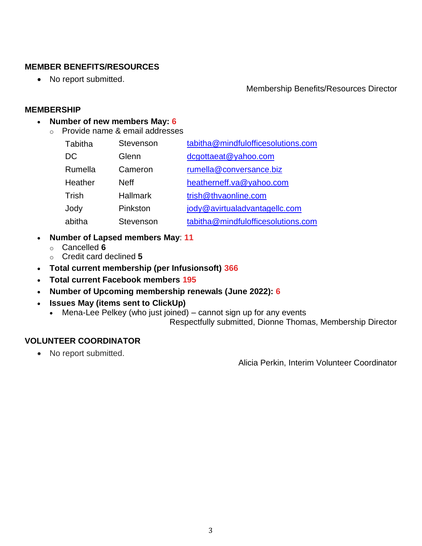#### **MEMBER BENEFITS/RESOURCES**

• No report submitted.

#### Membership Benefits/Resources Director

#### **MEMBERSHIP**

#### • **Number of new members May: 6**

o Provide name & email addresses

| Tabitha | Stevenson       | tabitha@mindfulofficesolutions.com |
|---------|-----------------|------------------------------------|
| DC      | Glenn           | dcgottaeat@yahoo.com               |
| Rumella | Cameron         | rumella@conversance.biz            |
| Heather | <b>Neff</b>     | heatherneff.va@yahoo.com           |
| Trish   | <b>Hallmark</b> | trish@thvaonline.com               |
| Jody    | Pinkston        | jody@avirtualadvantagellc.com      |
| abitha  | Stevenson       | tabitha@mindfulofficesolutions.com |

- **Number of Lapsed members May**: **11**
	- o Cancelled **6**
	- o Credit card declined **5**
- **Total current membership (per Infusionsoft) 366**
- **Total current Facebook members 195**
- **Number of Upcoming membership renewals (June 2022): 6**
- **Issues May (items sent to ClickUp)**
	- Mena-Lee Pelkey (who just joined) cannot sign up for any events

Respectfully submitted, Dionne Thomas, Membership Director

#### **VOLUNTEER COORDINATOR**

• No report submitted.

Alicia Perkin, Interim Volunteer Coordinator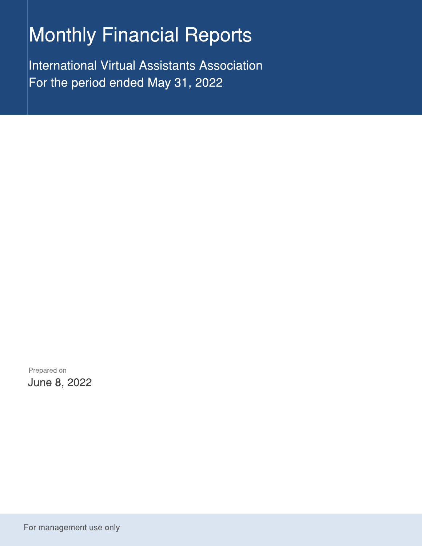## **Monthly Financial Reports**

**International Virtual Assistants Association** For the period ended May 31, 2022

Prepared on June 8, 2022

For management use only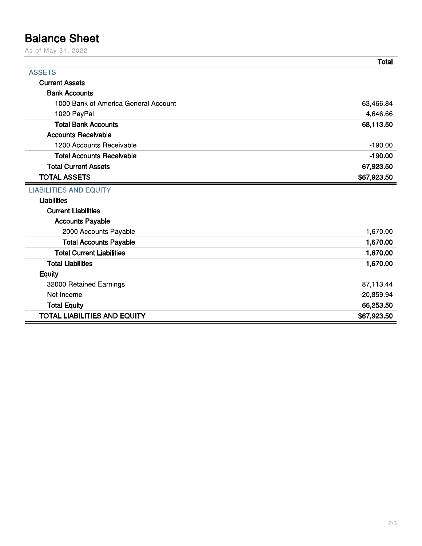## **Balance Sheet**

As of May 31, 2022

|                                      | <b>Total</b> |
|--------------------------------------|--------------|
| <b>ASSETS</b>                        |              |
| <b>Current Assets</b>                |              |
| <b>Bank Accounts</b>                 |              |
| 1000 Bank of America General Account | 63,466.84    |
| 1020 PayPal                          | 4,646.66     |
| <b>Total Bank Accounts</b>           | 68,113.50    |
| <b>Accounts Receivable</b>           |              |
| 1200 Accounts Receivable             | $-190.00$    |
| <b>Total Accounts Receivable</b>     | $-190.00$    |
| <b>Total Current Assets</b>          | 67,923.50    |
| <b>TOTAL ASSETS</b>                  | \$67,923.50  |
| <b>LIABILITIES AND EQUITY</b>        |              |
| <b>Liabilities</b>                   |              |
| <b>Current Liabilities</b>           |              |
| <b>Accounts Payable</b>              |              |
| 2000 Accounts Payable                | 1,670.00     |
| <b>Total Accounts Payable</b>        | 1,670.00     |
| <b>Total Current Liabilities</b>     | 1,670.00     |
| <b>Total Liabilities</b>             | 1,670.00     |
| <b>Equity</b>                        |              |
| 32000 Retained Earnings              | 87,113.44    |
| Net Income                           | $-20,859.94$ |
| <b>Total Equity</b>                  | 66,253.50    |
| <b>TOTAL LIABILITIES AND EQUITY</b>  | \$67,923.50  |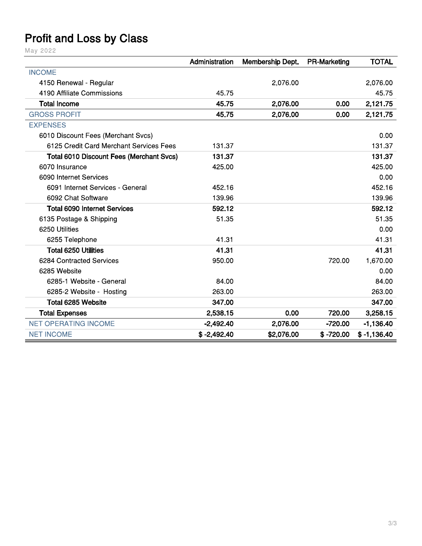## **Profit and Loss by Class**

May 2022

|                                                 | Administration | Membership Dept. | <b>PR-Marketing</b> | <b>TOTAL</b>  |
|-------------------------------------------------|----------------|------------------|---------------------|---------------|
| <b>INCOME</b>                                   |                |                  |                     |               |
| 4150 Renewal - Regular                          |                | 2,076.00         |                     | 2,076.00      |
| 4190 Affiliate Commissions                      | 45.75          |                  |                     | 45.75         |
| <b>Total Income</b>                             | 45.75          | 2,076.00         | 0.00                | 2,121.75      |
| <b>GROSS PROFIT</b>                             | 45.75          | 2,076.00         | 0.00                | 2,121.75      |
| <b>EXPENSES</b>                                 |                |                  |                     |               |
| 6010 Discount Fees (Merchant Svcs)              |                |                  |                     | 0.00          |
| 6125 Credit Card Merchant Services Fees         | 131.37         |                  |                     | 131.37        |
| <b>Total 6010 Discount Fees (Merchant Svcs)</b> | 131.37         |                  |                     | 131.37        |
| 6070 Insurance                                  | 425.00         |                  |                     | 425.00        |
| 6090 Internet Services                          |                |                  |                     | 0.00          |
| 6091 Internet Services - General                | 452.16         |                  |                     | 452.16        |
| 6092 Chat Software                              | 139.96         |                  |                     | 139.96        |
| <b>Total 6090 Internet Services</b>             | 592.12         |                  |                     | 592.12        |
| 6135 Postage & Shipping                         | 51.35          |                  |                     | 51.35         |
| 6250 Utilities                                  |                |                  |                     | 0.00          |
| 6255 Telephone                                  | 41.31          |                  |                     | 41.31         |
| <b>Total 6250 Utilities</b>                     | 41.31          |                  |                     | 41.31         |
| 6284 Contracted Services                        | 950.00         |                  | 720.00              | 1,670.00      |
| 6285 Website                                    |                |                  |                     | 0.00          |
| 6285-1 Website - General                        | 84.00          |                  |                     | 84.00         |
| 6285-2 Website - Hosting                        | 263.00         |                  |                     | 263.00        |
| Total 6285 Website                              | 347.00         |                  |                     | 347.00        |
| <b>Total Expenses</b>                           | 2,538.15       | 0.00             | 720.00              | 3,258.15      |
| <b>NET OPERATING INCOME</b>                     | $-2,492.40$    | 2,076.00         | $-720.00$           | $-1,136.40$   |
| <b>NET INCOME</b>                               | $$ -2,492.40$  | \$2,076.00       | $$ -720.00$         | $$ -1,136.40$ |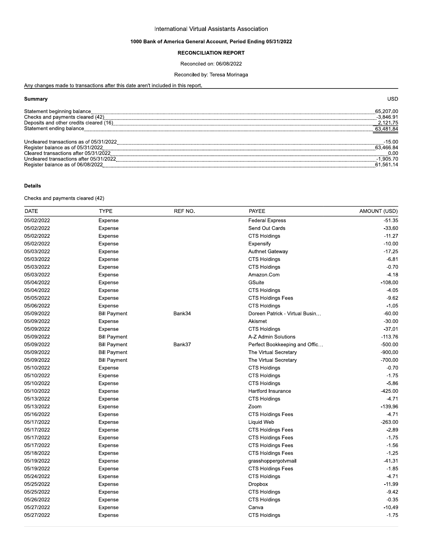#### international Virtual Assistants Associatio

# International Virtual Assistants Association<br>
1000 Bank of America General Account, Period Ending 05/31/2022<br>
RECONCILIATION REPORT<br>
Reconciled on: 06/08/2022<br>
Reconciled by: Teresa Morinaga<br>
Any changes made to transactio <u>o transactions after this date aren't included in this report.</u>

| ้ Summarv                               | יפר         |
|-----------------------------------------|-------------|
| Statement beginning balance             | 65.207.00   |
| Checks and payments cleared (42)        | $-3.846.91$ |
| Deposits and other credits cleared (16) | 121.75      |
| Statement ending balance                | 63,481.84   |
|                                         |             |
| Uncleared transactions as of 05/31/2022 | 15.00       |
|                                         | 63.466.84   |
| Cleared transactions after 05/31/2022   | በ በበ        |
| Uncleared transactions after 05/31/2022 | .905.70     |
| Register balance as of 06/08/2022       | .561.14     |
|                                         |             |

#### Details

 $C$ necks and payments cleared  $(42)$ 

| $-51.35$<br>05/02/2022<br><b>Federal Express</b><br>Expense<br>05/02/2022<br>Send Out Cards<br>$-33.60$<br>Expense<br>05/02/2022<br>$-11.27$<br><b>CTS Holdings</b><br>Expense<br>05/02/2022<br>$-10.00$<br>Expense<br>Expensify<br>05/03/2022<br>$-17.25$<br><b>Authnet Gateway</b><br>Expense<br>$-6.81$<br>05/03/2022<br><b>CTS Holdings</b><br>Expense<br>05/03/2022<br>$-0.70$<br><b>CTS Holdings</b><br>Expense<br>$-4.18$<br>05/03/2022<br>Amazon.Com<br>Expense<br>05/04/2022<br>GSuite<br>$-108.00$<br>Expense<br>05/04/2022<br><b>CTS Holdings</b><br>$-4.05$<br>Expense<br>05/05/2022<br>$-9.62$<br><b>CTS Holdings Fees</b><br>Expense<br>05/06/2022<br>$-1.05$<br><b>CTS Holdings</b><br>Expense<br>05/09/2022<br>Doreen Patrick - Virtual Busin<br>$-60.00$<br><b>Bill Payment</b><br>Bank34<br>$-30.00$<br>05/09/2022<br>Expense<br>Akismet<br>$-37.01$<br>05/09/2022<br>CTS Holdings<br>Expense<br>05/09/2022<br>$-113.76$<br><b>Bill Payment</b><br>A-Z Admin Solutions<br>$-500.00$<br>05/09/2022<br><b>Bill Payment</b><br>Bank37<br>Perfect Bookkeeping and Offic<br>05/09/2022<br><b>Bill Payment</b><br>$-900.00$<br>The Virtual Secretary<br>$-700.00$<br>05/09/2022<br><b>Bill Payment</b><br>The Virtual Secretary<br>05/10/2022<br>$-0.70$<br>Expense<br><b>CTS Holdings</b><br>$-1.75$<br>05/10/2022<br><b>CTS Holdings</b><br>Expense<br>$-5.86$<br>05/10/2022<br><b>CTS Holdings</b><br>Expense<br>05/10/2022<br>Hartford Insurance<br>-425.00<br>Expense<br>05/13/2022<br><b>CTS Holdings</b><br>$-4.71$<br>Expense<br>05/13/2022<br>$-139.96$<br>Zoom<br>Expense<br>05/16/2022<br>CTS Holdings Fees<br>$-4.71$<br>Expense<br>$-263.00$<br>05/17/2022<br>Expense<br><b>Liquid Web</b><br>$-2.89$<br>05/17/2022<br><b>CTS Holdings Fees</b><br>Expense<br>05/17/2022<br>$-1.75$<br><b>CTS Holdings Fees</b><br>Expense<br>05/17/2022<br><b>CTS Holdings Fees</b><br>$-1.56$<br>Expense<br>05/18/2022<br><b>CTS Holdings Fees</b><br>$-1.25$<br>Expense<br>$-41.31$<br>05/19/2022<br>Expense<br>grasshoppergotvmail<br>05/19/2022<br>$-1.85$<br><b>CTS Holdings Fees</b><br>Expense<br>$-4.71$<br>05/24/2022<br><b>CTS Holdings</b><br>Expense<br>05/25/2022<br>$-11.99$<br>Expense<br><b>Dropbox</b><br>$-9.42$<br>05/25/2022<br>CTS Holdings<br>Expense<br>05/26/2022<br><b>CTS Holdings</b><br>$-0.35$<br>Expense<br>05/27/2022<br>Canva<br>$-10.49$<br>Expense<br>05/27/2022<br><b>CTS Holdings</b><br>$-1.75$<br>Expense | <b>DATE</b> | <b>TYPE</b> | REF NO. | <b>PAYEE</b> | AMOUNT (USD) |
|-----------------------------------------------------------------------------------------------------------------------------------------------------------------------------------------------------------------------------------------------------------------------------------------------------------------------------------------------------------------------------------------------------------------------------------------------------------------------------------------------------------------------------------------------------------------------------------------------------------------------------------------------------------------------------------------------------------------------------------------------------------------------------------------------------------------------------------------------------------------------------------------------------------------------------------------------------------------------------------------------------------------------------------------------------------------------------------------------------------------------------------------------------------------------------------------------------------------------------------------------------------------------------------------------------------------------------------------------------------------------------------------------------------------------------------------------------------------------------------------------------------------------------------------------------------------------------------------------------------------------------------------------------------------------------------------------------------------------------------------------------------------------------------------------------------------------------------------------------------------------------------------------------------------------------------------------------------------------------------------------------------------------------------------------------------------------------------------------------------------------------------------------------------------------------------------------------------------------------------------------------------------------------------------------------------------------------------------------------------------------------------------------------------------------------------------------------------|-------------|-------------|---------|--------------|--------------|
|                                                                                                                                                                                                                                                                                                                                                                                                                                                                                                                                                                                                                                                                                                                                                                                                                                                                                                                                                                                                                                                                                                                                                                                                                                                                                                                                                                                                                                                                                                                                                                                                                                                                                                                                                                                                                                                                                                                                                                                                                                                                                                                                                                                                                                                                                                                                                                                                                                                           |             |             |         |              |              |
|                                                                                                                                                                                                                                                                                                                                                                                                                                                                                                                                                                                                                                                                                                                                                                                                                                                                                                                                                                                                                                                                                                                                                                                                                                                                                                                                                                                                                                                                                                                                                                                                                                                                                                                                                                                                                                                                                                                                                                                                                                                                                                                                                                                                                                                                                                                                                                                                                                                           |             |             |         |              |              |
|                                                                                                                                                                                                                                                                                                                                                                                                                                                                                                                                                                                                                                                                                                                                                                                                                                                                                                                                                                                                                                                                                                                                                                                                                                                                                                                                                                                                                                                                                                                                                                                                                                                                                                                                                                                                                                                                                                                                                                                                                                                                                                                                                                                                                                                                                                                                                                                                                                                           |             |             |         |              |              |
|                                                                                                                                                                                                                                                                                                                                                                                                                                                                                                                                                                                                                                                                                                                                                                                                                                                                                                                                                                                                                                                                                                                                                                                                                                                                                                                                                                                                                                                                                                                                                                                                                                                                                                                                                                                                                                                                                                                                                                                                                                                                                                                                                                                                                                                                                                                                                                                                                                                           |             |             |         |              |              |
|                                                                                                                                                                                                                                                                                                                                                                                                                                                                                                                                                                                                                                                                                                                                                                                                                                                                                                                                                                                                                                                                                                                                                                                                                                                                                                                                                                                                                                                                                                                                                                                                                                                                                                                                                                                                                                                                                                                                                                                                                                                                                                                                                                                                                                                                                                                                                                                                                                                           |             |             |         |              |              |
|                                                                                                                                                                                                                                                                                                                                                                                                                                                                                                                                                                                                                                                                                                                                                                                                                                                                                                                                                                                                                                                                                                                                                                                                                                                                                                                                                                                                                                                                                                                                                                                                                                                                                                                                                                                                                                                                                                                                                                                                                                                                                                                                                                                                                                                                                                                                                                                                                                                           |             |             |         |              |              |
|                                                                                                                                                                                                                                                                                                                                                                                                                                                                                                                                                                                                                                                                                                                                                                                                                                                                                                                                                                                                                                                                                                                                                                                                                                                                                                                                                                                                                                                                                                                                                                                                                                                                                                                                                                                                                                                                                                                                                                                                                                                                                                                                                                                                                                                                                                                                                                                                                                                           |             |             |         |              |              |
|                                                                                                                                                                                                                                                                                                                                                                                                                                                                                                                                                                                                                                                                                                                                                                                                                                                                                                                                                                                                                                                                                                                                                                                                                                                                                                                                                                                                                                                                                                                                                                                                                                                                                                                                                                                                                                                                                                                                                                                                                                                                                                                                                                                                                                                                                                                                                                                                                                                           |             |             |         |              |              |
|                                                                                                                                                                                                                                                                                                                                                                                                                                                                                                                                                                                                                                                                                                                                                                                                                                                                                                                                                                                                                                                                                                                                                                                                                                                                                                                                                                                                                                                                                                                                                                                                                                                                                                                                                                                                                                                                                                                                                                                                                                                                                                                                                                                                                                                                                                                                                                                                                                                           |             |             |         |              |              |
|                                                                                                                                                                                                                                                                                                                                                                                                                                                                                                                                                                                                                                                                                                                                                                                                                                                                                                                                                                                                                                                                                                                                                                                                                                                                                                                                                                                                                                                                                                                                                                                                                                                                                                                                                                                                                                                                                                                                                                                                                                                                                                                                                                                                                                                                                                                                                                                                                                                           |             |             |         |              |              |
|                                                                                                                                                                                                                                                                                                                                                                                                                                                                                                                                                                                                                                                                                                                                                                                                                                                                                                                                                                                                                                                                                                                                                                                                                                                                                                                                                                                                                                                                                                                                                                                                                                                                                                                                                                                                                                                                                                                                                                                                                                                                                                                                                                                                                                                                                                                                                                                                                                                           |             |             |         |              |              |
|                                                                                                                                                                                                                                                                                                                                                                                                                                                                                                                                                                                                                                                                                                                                                                                                                                                                                                                                                                                                                                                                                                                                                                                                                                                                                                                                                                                                                                                                                                                                                                                                                                                                                                                                                                                                                                                                                                                                                                                                                                                                                                                                                                                                                                                                                                                                                                                                                                                           |             |             |         |              |              |
|                                                                                                                                                                                                                                                                                                                                                                                                                                                                                                                                                                                                                                                                                                                                                                                                                                                                                                                                                                                                                                                                                                                                                                                                                                                                                                                                                                                                                                                                                                                                                                                                                                                                                                                                                                                                                                                                                                                                                                                                                                                                                                                                                                                                                                                                                                                                                                                                                                                           |             |             |         |              |              |
|                                                                                                                                                                                                                                                                                                                                                                                                                                                                                                                                                                                                                                                                                                                                                                                                                                                                                                                                                                                                                                                                                                                                                                                                                                                                                                                                                                                                                                                                                                                                                                                                                                                                                                                                                                                                                                                                                                                                                                                                                                                                                                                                                                                                                                                                                                                                                                                                                                                           |             |             |         |              |              |
|                                                                                                                                                                                                                                                                                                                                                                                                                                                                                                                                                                                                                                                                                                                                                                                                                                                                                                                                                                                                                                                                                                                                                                                                                                                                                                                                                                                                                                                                                                                                                                                                                                                                                                                                                                                                                                                                                                                                                                                                                                                                                                                                                                                                                                                                                                                                                                                                                                                           |             |             |         |              |              |
|                                                                                                                                                                                                                                                                                                                                                                                                                                                                                                                                                                                                                                                                                                                                                                                                                                                                                                                                                                                                                                                                                                                                                                                                                                                                                                                                                                                                                                                                                                                                                                                                                                                                                                                                                                                                                                                                                                                                                                                                                                                                                                                                                                                                                                                                                                                                                                                                                                                           |             |             |         |              |              |
|                                                                                                                                                                                                                                                                                                                                                                                                                                                                                                                                                                                                                                                                                                                                                                                                                                                                                                                                                                                                                                                                                                                                                                                                                                                                                                                                                                                                                                                                                                                                                                                                                                                                                                                                                                                                                                                                                                                                                                                                                                                                                                                                                                                                                                                                                                                                                                                                                                                           |             |             |         |              |              |
|                                                                                                                                                                                                                                                                                                                                                                                                                                                                                                                                                                                                                                                                                                                                                                                                                                                                                                                                                                                                                                                                                                                                                                                                                                                                                                                                                                                                                                                                                                                                                                                                                                                                                                                                                                                                                                                                                                                                                                                                                                                                                                                                                                                                                                                                                                                                                                                                                                                           |             |             |         |              |              |
|                                                                                                                                                                                                                                                                                                                                                                                                                                                                                                                                                                                                                                                                                                                                                                                                                                                                                                                                                                                                                                                                                                                                                                                                                                                                                                                                                                                                                                                                                                                                                                                                                                                                                                                                                                                                                                                                                                                                                                                                                                                                                                                                                                                                                                                                                                                                                                                                                                                           |             |             |         |              |              |
|                                                                                                                                                                                                                                                                                                                                                                                                                                                                                                                                                                                                                                                                                                                                                                                                                                                                                                                                                                                                                                                                                                                                                                                                                                                                                                                                                                                                                                                                                                                                                                                                                                                                                                                                                                                                                                                                                                                                                                                                                                                                                                                                                                                                                                                                                                                                                                                                                                                           |             |             |         |              |              |
|                                                                                                                                                                                                                                                                                                                                                                                                                                                                                                                                                                                                                                                                                                                                                                                                                                                                                                                                                                                                                                                                                                                                                                                                                                                                                                                                                                                                                                                                                                                                                                                                                                                                                                                                                                                                                                                                                                                                                                                                                                                                                                                                                                                                                                                                                                                                                                                                                                                           |             |             |         |              |              |
|                                                                                                                                                                                                                                                                                                                                                                                                                                                                                                                                                                                                                                                                                                                                                                                                                                                                                                                                                                                                                                                                                                                                                                                                                                                                                                                                                                                                                                                                                                                                                                                                                                                                                                                                                                                                                                                                                                                                                                                                                                                                                                                                                                                                                                                                                                                                                                                                                                                           |             |             |         |              |              |
|                                                                                                                                                                                                                                                                                                                                                                                                                                                                                                                                                                                                                                                                                                                                                                                                                                                                                                                                                                                                                                                                                                                                                                                                                                                                                                                                                                                                                                                                                                                                                                                                                                                                                                                                                                                                                                                                                                                                                                                                                                                                                                                                                                                                                                                                                                                                                                                                                                                           |             |             |         |              |              |
|                                                                                                                                                                                                                                                                                                                                                                                                                                                                                                                                                                                                                                                                                                                                                                                                                                                                                                                                                                                                                                                                                                                                                                                                                                                                                                                                                                                                                                                                                                                                                                                                                                                                                                                                                                                                                                                                                                                                                                                                                                                                                                                                                                                                                                                                                                                                                                                                                                                           |             |             |         |              |              |
|                                                                                                                                                                                                                                                                                                                                                                                                                                                                                                                                                                                                                                                                                                                                                                                                                                                                                                                                                                                                                                                                                                                                                                                                                                                                                                                                                                                                                                                                                                                                                                                                                                                                                                                                                                                                                                                                                                                                                                                                                                                                                                                                                                                                                                                                                                                                                                                                                                                           |             |             |         |              |              |
|                                                                                                                                                                                                                                                                                                                                                                                                                                                                                                                                                                                                                                                                                                                                                                                                                                                                                                                                                                                                                                                                                                                                                                                                                                                                                                                                                                                                                                                                                                                                                                                                                                                                                                                                                                                                                                                                                                                                                                                                                                                                                                                                                                                                                                                                                                                                                                                                                                                           |             |             |         |              |              |
|                                                                                                                                                                                                                                                                                                                                                                                                                                                                                                                                                                                                                                                                                                                                                                                                                                                                                                                                                                                                                                                                                                                                                                                                                                                                                                                                                                                                                                                                                                                                                                                                                                                                                                                                                                                                                                                                                                                                                                                                                                                                                                                                                                                                                                                                                                                                                                                                                                                           |             |             |         |              |              |
|                                                                                                                                                                                                                                                                                                                                                                                                                                                                                                                                                                                                                                                                                                                                                                                                                                                                                                                                                                                                                                                                                                                                                                                                                                                                                                                                                                                                                                                                                                                                                                                                                                                                                                                                                                                                                                                                                                                                                                                                                                                                                                                                                                                                                                                                                                                                                                                                                                                           |             |             |         |              |              |
|                                                                                                                                                                                                                                                                                                                                                                                                                                                                                                                                                                                                                                                                                                                                                                                                                                                                                                                                                                                                                                                                                                                                                                                                                                                                                                                                                                                                                                                                                                                                                                                                                                                                                                                                                                                                                                                                                                                                                                                                                                                                                                                                                                                                                                                                                                                                                                                                                                                           |             |             |         |              |              |
|                                                                                                                                                                                                                                                                                                                                                                                                                                                                                                                                                                                                                                                                                                                                                                                                                                                                                                                                                                                                                                                                                                                                                                                                                                                                                                                                                                                                                                                                                                                                                                                                                                                                                                                                                                                                                                                                                                                                                                                                                                                                                                                                                                                                                                                                                                                                                                                                                                                           |             |             |         |              |              |
|                                                                                                                                                                                                                                                                                                                                                                                                                                                                                                                                                                                                                                                                                                                                                                                                                                                                                                                                                                                                                                                                                                                                                                                                                                                                                                                                                                                                                                                                                                                                                                                                                                                                                                                                                                                                                                                                                                                                                                                                                                                                                                                                                                                                                                                                                                                                                                                                                                                           |             |             |         |              |              |
|                                                                                                                                                                                                                                                                                                                                                                                                                                                                                                                                                                                                                                                                                                                                                                                                                                                                                                                                                                                                                                                                                                                                                                                                                                                                                                                                                                                                                                                                                                                                                                                                                                                                                                                                                                                                                                                                                                                                                                                                                                                                                                                                                                                                                                                                                                                                                                                                                                                           |             |             |         |              |              |
|                                                                                                                                                                                                                                                                                                                                                                                                                                                                                                                                                                                                                                                                                                                                                                                                                                                                                                                                                                                                                                                                                                                                                                                                                                                                                                                                                                                                                                                                                                                                                                                                                                                                                                                                                                                                                                                                                                                                                                                                                                                                                                                                                                                                                                                                                                                                                                                                                                                           |             |             |         |              |              |
|                                                                                                                                                                                                                                                                                                                                                                                                                                                                                                                                                                                                                                                                                                                                                                                                                                                                                                                                                                                                                                                                                                                                                                                                                                                                                                                                                                                                                                                                                                                                                                                                                                                                                                                                                                                                                                                                                                                                                                                                                                                                                                                                                                                                                                                                                                                                                                                                                                                           |             |             |         |              |              |
|                                                                                                                                                                                                                                                                                                                                                                                                                                                                                                                                                                                                                                                                                                                                                                                                                                                                                                                                                                                                                                                                                                                                                                                                                                                                                                                                                                                                                                                                                                                                                                                                                                                                                                                                                                                                                                                                                                                                                                                                                                                                                                                                                                                                                                                                                                                                                                                                                                                           |             |             |         |              |              |
|                                                                                                                                                                                                                                                                                                                                                                                                                                                                                                                                                                                                                                                                                                                                                                                                                                                                                                                                                                                                                                                                                                                                                                                                                                                                                                                                                                                                                                                                                                                                                                                                                                                                                                                                                                                                                                                                                                                                                                                                                                                                                                                                                                                                                                                                                                                                                                                                                                                           |             |             |         |              |              |
|                                                                                                                                                                                                                                                                                                                                                                                                                                                                                                                                                                                                                                                                                                                                                                                                                                                                                                                                                                                                                                                                                                                                                                                                                                                                                                                                                                                                                                                                                                                                                                                                                                                                                                                                                                                                                                                                                                                                                                                                                                                                                                                                                                                                                                                                                                                                                                                                                                                           |             |             |         |              |              |
|                                                                                                                                                                                                                                                                                                                                                                                                                                                                                                                                                                                                                                                                                                                                                                                                                                                                                                                                                                                                                                                                                                                                                                                                                                                                                                                                                                                                                                                                                                                                                                                                                                                                                                                                                                                                                                                                                                                                                                                                                                                                                                                                                                                                                                                                                                                                                                                                                                                           |             |             |         |              |              |
|                                                                                                                                                                                                                                                                                                                                                                                                                                                                                                                                                                                                                                                                                                                                                                                                                                                                                                                                                                                                                                                                                                                                                                                                                                                                                                                                                                                                                                                                                                                                                                                                                                                                                                                                                                                                                                                                                                                                                                                                                                                                                                                                                                                                                                                                                                                                                                                                                                                           |             |             |         |              |              |